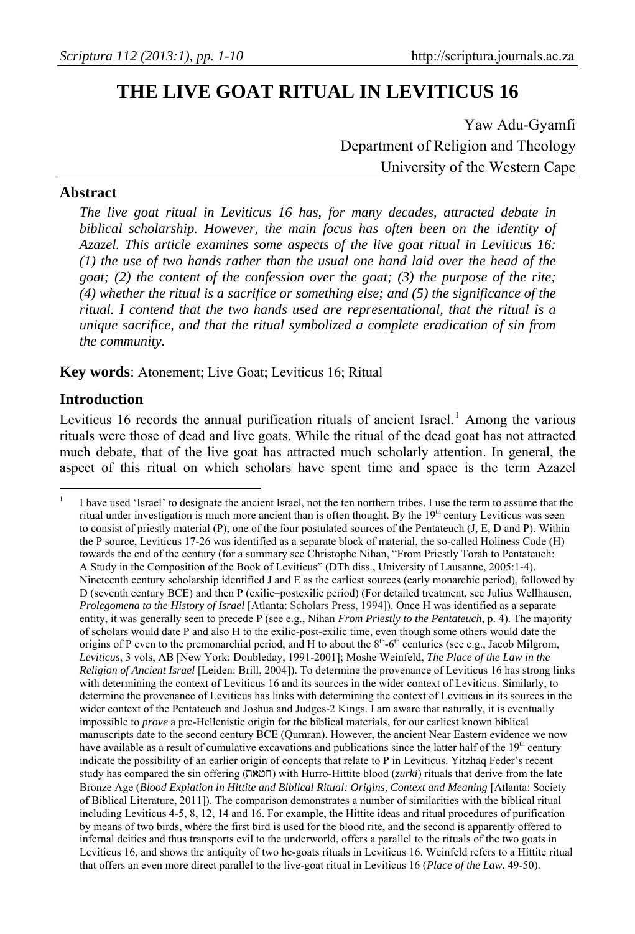# **THE LIVE GOAT RITUAL IN LEVITICUS 16**

Yaw Adu-Gyamfi Department of Religion and Theology University of the Western Cape

#### **Abstract**

*The live goat ritual in Leviticus 16 has, for many decades, attracted debate in biblical scholarship. However, the main focus has often been on the identity of Azazel. This article examines some aspects of the live goat ritual in Leviticus 16: (1) the use of two hands rather than the usual one hand laid over the head of the goat; (2) the content of the confession over the goat; (3) the purpose of the rite; (4) whether the ritual is a sacrifice or something else; and (5) the significance of the ritual. I contend that the two hands used are representational, that the ritual is a unique sacrifice, and that the ritual symbolized a complete eradication of sin from the community.* 

**Key words**: Atonement; Live Goat; Leviticus 16; Ritual

#### **Introduction**

Leviticus [1](#page-0-0)6 records the annual purification rituals of ancient Israel.<sup>1</sup> Among the various rituals were those of dead and live goats. While the ritual of the dead goat has not attracted much debate, that of the live goat has attracted much scholarly attention. In general, the aspect of this ritual on which scholars have spent time and space is the term Azazel

<span id="page-0-0"></span> $\overline{a}$ 1 I have used 'Israel' to designate the ancient Israel, not the ten northern tribes. I use the term to assume that the ritual under investigation is much more ancient than is often thought. By the  $19<sup>th</sup>$  century Leviticus was seen to consist of priestly material  $(P)$ , one of the four postulated sources of the Pentateuch  $(J, E, D, A)$ . Within the P source, Leviticus 17-26 was identified as a separate block of material, the so-called Holiness Code (H) towards the end of the century (for a summary see Christophe Nihan, "From Priestly Torah to Pentateuch: A Study in the Composition of the Book of Leviticus" (DTh diss., University of Lausanne, 2005:1-4). Nineteenth century scholarship identified J and E as the earliest sources (early monarchic period), followed by D (seventh century BCE) and then P (exilic–postexilic period) (For detailed treatment, see Julius Wellhausen, *Prolegomena to the History of Israel* [Atlanta: Scholars Press, 1994]). Once H was identified as a separate entity, it was generally seen to precede P (see e.g., Nihan *From Priestly to the Pentateuch*, p. 4). The majority of scholars would date P and also H to the exilic-post-exilic time, even though some others would date the origins of P even to the premonarchial period, and H to about the 8<sup>th</sup>-6<sup>th</sup> centuries (see e.g., Jacob Milgrom, *Leviticus*, 3 vols, AB [New York: Doubleday, 1991-2001]; Moshe Weinfeld, *The Place of the Law in the Religion of Ancient Israel* [Leiden: Brill, 2004]). To determine the provenance of Leviticus 16 has strong links with determining the context of Leviticus 16 and its sources in the wider context of Leviticus. Similarly, to determine the provenance of Leviticus has links with determining the context of Leviticus in its sources in the wider context of the Pentateuch and Joshua and Judges-2 Kings. I am aware that naturally, it is eventually impossible to *prove* a pre-Hellenistic origin for the biblical materials, for our earliest known biblical manuscripts date to the second century BCE (Qumran). However, the ancient Near Eastern evidence we now have available as a result of cumulative excavations and publications since the latter half of the  $19<sup>th</sup>$  century indicate the possibility of an earlier origin of concepts that relate to P in Leviticus. Yitzhaq Feder's recent study has compared the sin offering ( $\Box$   $\Diamond$ ) with Hurro-Hittite blood (*zurki*) rituals that derive from the late Bronze Age (*Blood Expiation in Hittite and Biblical Ritual: Origins, Context and Meaning* [Atlanta: Society of Biblical Literature, 2011]). The comparison demonstrates a number of similarities with the biblical ritual including Leviticus 4-5, 8, 12, 14 and 16. For example, the Hittite ideas and ritual procedures of purification by means of two birds, where the first bird is used for the blood rite, and the second is apparently offered to infernal deities and thus transports evil to the underworld, offers a parallel to the rituals of the two goats in Leviticus 16, and shows the antiquity of two he-goats rituals in Leviticus 16. Weinfeld refers to a Hittite ritual that offers an even more direct parallel to the live-goat ritual in Leviticus 16 (*Place of the Law*, 49-50).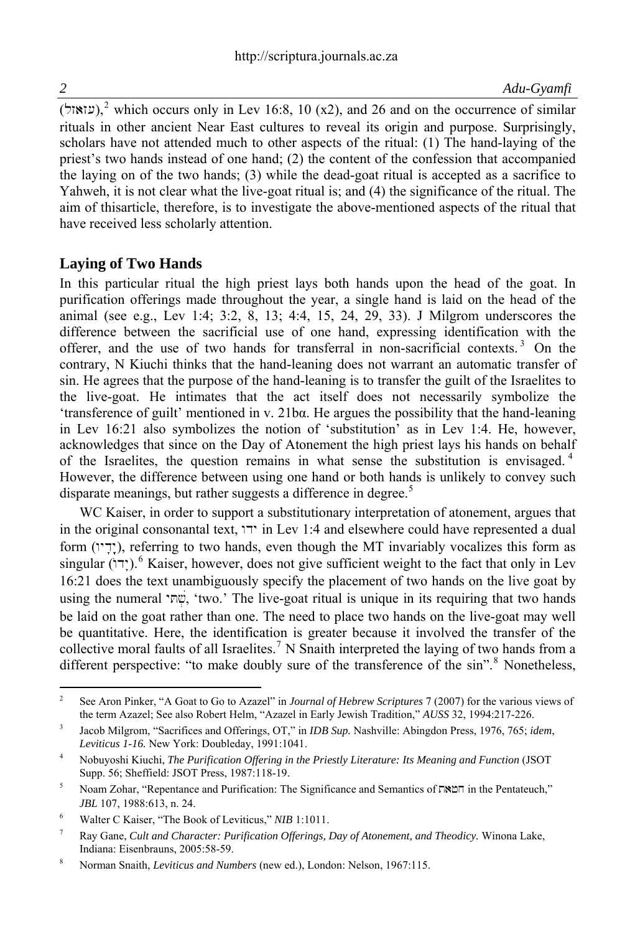(עוֹאוֹל),<sup>[2](#page-1-0)</sup> which occurs only in Lev 16:8, 10 (x2), and 26 and on the occurrence of similar rituals in other ancient Near East cultures to reveal its origin and purpose. Surprisingly, scholars have not attended much to other aspects of the ritual: (1) The hand-laying of the priest's two hands instead of one hand; (2) the content of the confession that accompanied the laying on of the two hands; (3) while the dead-goat ritual is accepted as a sacrifice to Yahweh, it is not clear what the live-goat ritual is; and (4) the significance of the ritual. The aim of thisarticle, therefore, is to investigate the above-mentioned aspects of the ritual that have received less scholarly attention.

#### **Laying of Two Hands**

In this particular ritual the high priest lays both hands upon the head of the goat. In purification offerings made throughout the year, a single hand is laid on the head of the animal (see e.g., Lev 1:4; 3:2, 8, 13; 4:4, 15, 24, 29, 33). J Milgrom underscores the difference between the sacrificial use of one hand, expressing identification with the offerer, and the use of two hands for transferral in non-sacrificial contexts. [3](#page-1-1) On the contrary, N Kiuchi thinks that the hand-leaning does not warrant an automatic transfer of sin. He agrees that the purpose of the hand-leaning is to transfer the guilt of the Israelites to the live-goat. He intimates that the act itself does not necessarily symbolize the 'transference of guilt' mentioned in v. 21bα. He argues the possibility that the hand-leaning in Lev 16:21 also symbolizes the notion of 'substitution' as in Lev 1:4. He, however, acknowledges that since on the Day of Atonement the high priest lays his hands on behalf of the Israelites, the question remains in what sense the substitution is envisaged.<sup>[4](#page-1-2)</sup> However, the difference between using one hand or both hands is unlikely to convey such disparate meanings, but rather suggests a difference in degree.<sup>[5](#page-1-3)</sup>

WC Kaiser, in order to support a substitutionary interpretation of atonement, argues that in the original consonantal text,  $\overline{w}$  in Lev 1:4 and elsewhere could have represented a dual  $f$ form (ידי), referring to two hands, even though the MT invariably vocalizes this form as singular (יִדוֹ).<sup>[6](#page-1-4)</sup> Kaiser, however, does not give sufficient weight to the fact that only in Lev 16:21 does the text unambiguously specify the placement of two hands on the live goat by using the numeral 'שְׁתָּל, 'two.' The live-goat ritual is unique in its requiring that two hands be laid on the goat rather than one. The need to place two hands on the live-goat may well be quantitative. Here, the identification is greater because it involved the transfer of the collective moral faults of all Israelites.<sup>[7](#page-1-5)</sup> N Snaith interpreted the laying of two hands from a different perspective: "to make doubly sure of the transference of the sin".<sup>[8](#page-1-6)</sup> Nonetheless,

<span id="page-1-0"></span> $\frac{1}{2}$  See Aron Pinker, "A Goat to Go to Azazel" in *Journal of Hebrew Scriptures* 7 (2007) for the various views of the term Azazel; See also Robert Helm, "Azazel in Early Jewish Tradition," *AUSS* 32, 1994:217-226.

<span id="page-1-1"></span><sup>3</sup> Jacob Milgrom, "Sacrifices and Offerings, OT," in *IDB Sup.* Nashville: Abingdon Press, 1976, 765; *idem*, *Leviticus 1-16.* New York: Doubleday, 1991:1041.

<span id="page-1-2"></span><sup>4</sup> Nobuyoshi Kiuchi, *The Purification Offering in the Priestly Literature: Its Meaning and Function* (JSOT Supp. 56; Sheffield: JSOT Press, 1987:118-19.

<span id="page-1-3"></span><sup>5</sup> Noam Zohar, "Repentance and Purification: The Significance and Semantics of  $\Gamma N \cong \Gamma$  in the Pentateuch," *JBL* 107, 1988:613, n. 24.

<span id="page-1-4"></span><sup>6</sup> Walter C Kaiser, "The Book of Leviticus," *NIB* 1:1011.

<span id="page-1-5"></span><sup>7</sup> Ray Gane, *Cult and Character: Purification Offerings, Day of Atonement, and Theodicy.* Winona Lake, Indiana: Eisenbrauns, 2005:58-59.

<span id="page-1-6"></span><sup>8</sup> Norman Snaith, *Leviticus and Numbers* (new ed.), London: Nelson, 1967:115.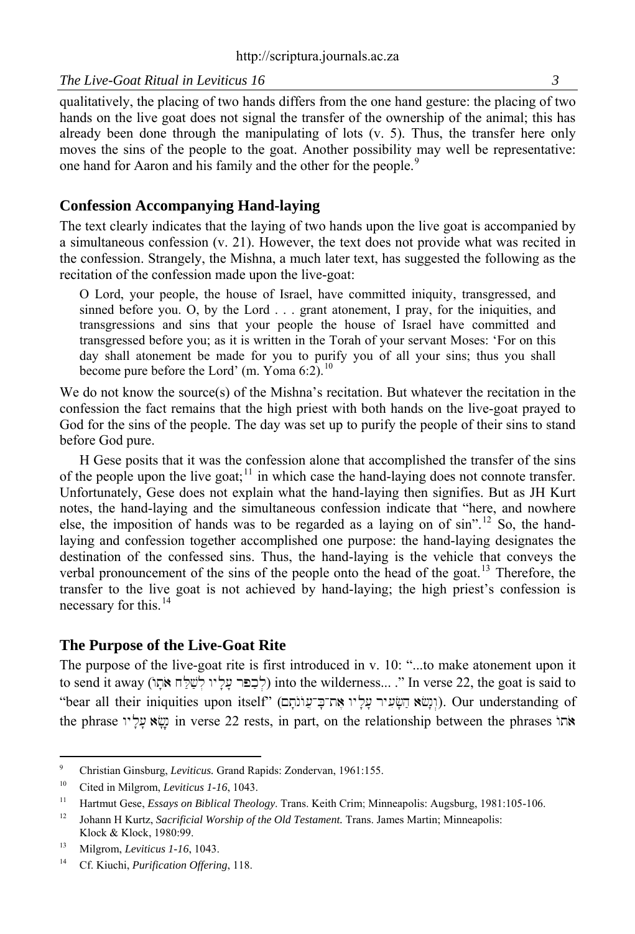qualitatively, the placing of two hands differs from the one hand gesture: the placing of two hands on the live goat does not signal the transfer of the ownership of the animal; this has already been done through the manipulating of lots (v. 5). Thus, the transfer here only moves the sins of the people to the goat. Another possibility may well be representative: one hand for Aaron and his family and the other for the people.<sup>[9](#page-2-0)</sup>

#### **Confession Accompanying Hand-laying**

The text clearly indicates that the laying of two hands upon the live goat is accompanied by a simultaneous confession (v. 21). However, the text does not provide what was recited in the confession. Strangely, the Mishna, a much later text, has suggested the following as the recitation of the confession made upon the live-goat:

O Lord, your people, the house of Israel, have committed iniquity, transgressed, and sinned before you. O, by the Lord . . . grant atonement, I pray, for the iniquities, and transgressions and sins that your people the house of Israel have committed and transgressed before you; as it is written in the Torah of your servant Moses: 'For on this day shall atonement be made for you to purify you of all your sins; thus you shall become pure before the Lord' (m. Yoma  $6:2$ ).<sup>[10](#page-2-1)</sup>

We do not know the source(s) of the Mishna's recitation. But whatever the recitation in the confession the fact remains that the high priest with both hands on the live-goat prayed to God for the sins of the people. The day was set up to purify the people of their sins to stand before God pure.

H Gese posits that it was the confession alone that accomplished the transfer of the sins of the people upon the live goat;<sup>[11](#page-2-2)</sup> in which case the hand-laying does not connote transfer. Unfortunately, Gese does not explain what the hand-laying then signifies. But as JH Kurt notes, the hand-laying and the simultaneous confession indicate that "here, and nowhere else, the imposition of hands was to be regarded as a laying on of  $\sin^{n}$ .<sup>[12](#page-2-3)</sup> So, the handlaying and confession together accomplished one purpose: the hand-laying designates the destination of the confessed sins. Thus, the hand-laying is the vehicle that conveys the verbal pronouncement of the sins of the people onto the head of the goat.<sup>[13](#page-2-4)</sup> Therefore, the transfer to the live goat is not achieved by hand-laying; the high priest's confession is necessary for this.[14](#page-2-5)

#### **The Purpose of the Live-Goat Rite**

The purpose of the live-goat rite is first introduced in v. 10: "...to make atonement upon it to send it away (לכפר עליו לשלח אתו) into the wilderness... ." In verse 22, the goat is said to "bear all their iniquities upon itself" (תִשָּׁא חֲשָׂעִיר עָלָיו אֱח־כָּ־עֲוֹנֹתָם). Our understanding of the phrase  $\ddot{x}$ tion in verse 22 rests, in part, on the relationship between the phrases  $\ddot{x}$ 

<sup>-&</sup>lt;br>9 Christian Ginsburg, *Leviticus.* Grand Rapids: Zondervan, 1961:155.

<span id="page-2-1"></span><span id="page-2-0"></span><sup>10</sup> Cited in Milgrom, *Leviticus 1-16*, 1043.

<span id="page-2-2"></span><sup>11</sup> Hartmut Gese, *Essays on Biblical Theology*. Trans. Keith Crim; Minneapolis: Augsburg, 1981:105-106.

<span id="page-2-3"></span><sup>&</sup>lt;sup>12</sup> Johann H Kurtz, *Sacrificial Worship of the Old Testament*. Trans. James Martin; Minneapolis: Klock & Klock, 1980:99.

<span id="page-2-4"></span><sup>13</sup> Milgrom, *Leviticus 1-16*, 1043.

<span id="page-2-5"></span><sup>14</sup> Cf. Kiuchi, *Purification Offering*, 118.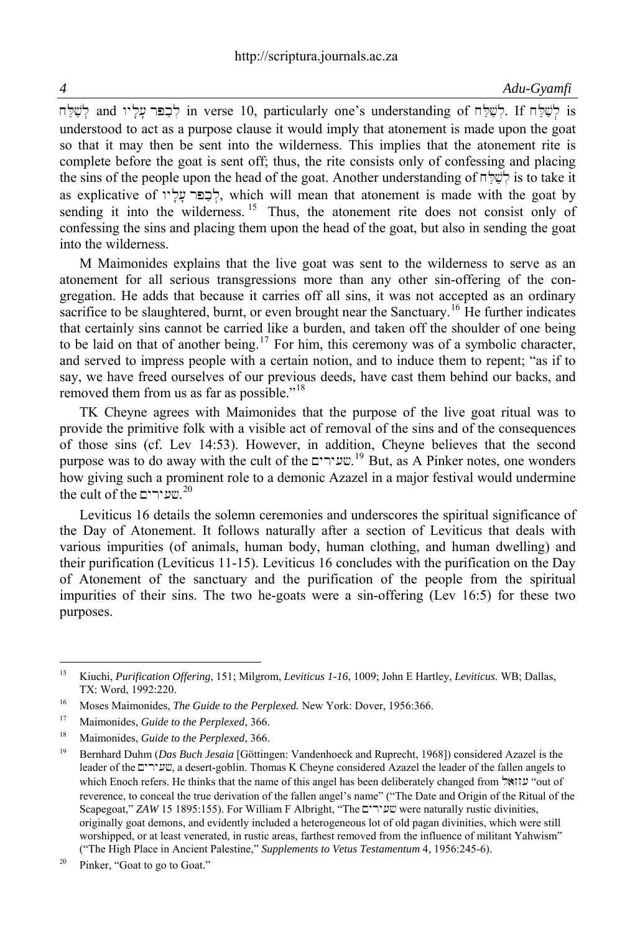*4 Adu-Gyamfi*

 $\overline{\mathbf{r}}$ in verse 10, particularly one's understanding of  $\overline{\mathbf{r}}$ לְשָׁלָח; If  $\overline{\mathbf{r}}$  is  $\overline{\mathbf{r}}$ ; is understood to act as a purpose clause it would imply that atonement is made upon the goat so that it may then be sent into the wilderness. This implies that the atonement rite is complete before the goat is sent off; thus, the rite consists only of confessing and placing the sins of the people upon the head of the goat. Another understanding of  $\pi$ לָשֶׁלָּ $\pi$ ; is to take it as explicative of  $y^2$ לְכָפּר  $\alpha$ לְכָפּר  $\gamma$ לָכּפּר  $\gamma$ לָכּפּר  $\gamma$ ל sending it into the wilderness.  $15$  Thus, the atonement rite does not consist only of confessing the sins and placing them upon the head of the goat, but also in sending the goat into the wilderness.

M Maimonides explains that the live goat was sent to the wilderness to serve as an atonement for all serious transgressions more than any other sin-offering of the congregation. He adds that because it carries off all sins, it was not accepted as an ordinary sacrifice to be slaughtered, burnt, or even brought near the Sanctuary.<sup>[16](#page-3-1)</sup> He further indicates that certainly sins cannot be carried like a burden, and taken off the shoulder of one being to be laid on that of another being.<sup>[17](#page-3-2)</sup> For him, this ceremony was of a symbolic character, and served to impress people with a certain notion, and to induce them to repent; "as if to say, we have freed ourselves of our previous deeds, have cast them behind our backs, and removed them from us as far as possible."<sup>[18](#page-3-3)</sup>

TK Cheyne agrees with Maimonides that the purpose of the live goat ritual was to provide the primitive folk with a visible act of removal of the sins and of the consequences of those sins (cf. Lev 14:53). However, in addition, Cheyne believes that the second purpose was to do away with the cult of the  $\mathbb{C}^{19}$  $\mathbb{C}^{19}$  $\mathbb{C}^{19}$  But, as A Pinker notes, one wonders how giving such a prominent role to a demonic Azazel in a major festival would undermine the cult of the שעירים. $^{20}$  $^{20}$  $^{20}$ 

Leviticus 16 details the solemn ceremonies and underscores the spiritual significance of the Day of Atonement. It follows naturally after a section of Leviticus that deals with various impurities (of animals, human body, human clothing, and human dwelling) and their purification (Leviticus 11-15). Leviticus 16 concludes with the purification on the Day of Atonement of the sanctuary and the purification of the people from the spiritual impurities of their sins. The two he-goats were a sin-offering (Lev 16:5) for these two purposes.

<span id="page-3-0"></span> $15$ 15 Kiuchi, *Purification Offering*, 151; Milgrom, *Leviticus 1-16*, 1009; John E Hartley, *Leviticus.* WB; Dallas, TX: Word, 1992:220.

<span id="page-3-1"></span><sup>16</sup> Moses Maimonides, *The Guide to the Perplexed.* New York: Dover, 1956:366.

<span id="page-3-2"></span><sup>17</sup> Maimonides, *Guide to the Perplexed*, 366.

<span id="page-3-3"></span><sup>18</sup> Maimonides, *Guide to the Perplexed*, 366.

<span id="page-3-4"></span><sup>19</sup> Bernhard Duhm (*Das Buch Jesaia* [Göttingen: Vandenhoeck and Ruprecht, 1968]) considered Azazel is the leader of the Myry(#, a desert-goblin. Thomas K Cheyne considered Azazel the leader of the fallen angels to which Enoch refers. He thinks that the name of this angel has been deliberately changed from  $\forall x$ " $\lor$  "out of reverence, to conceal the true derivation of the fallen angel's name" ("The Date and Origin of the Ritual of the Scapegoat," *ZAW* 15 1895:155). For William F Albright, "The שעירים were naturally rustic divinities, originally goat demons, and evidently included a heterogeneous lot of old pagan divinities, which were still worshipped, or at least venerated, in rustic areas, farthest removed from the influence of militant Yahwism" ("The High Place in Ancient Palestine," *Supplements to Vetus Testamentum* 4, 1956:245-6).

<span id="page-3-5"></span><sup>&</sup>lt;sup>20</sup> Pinker, "Goat to go to Goat."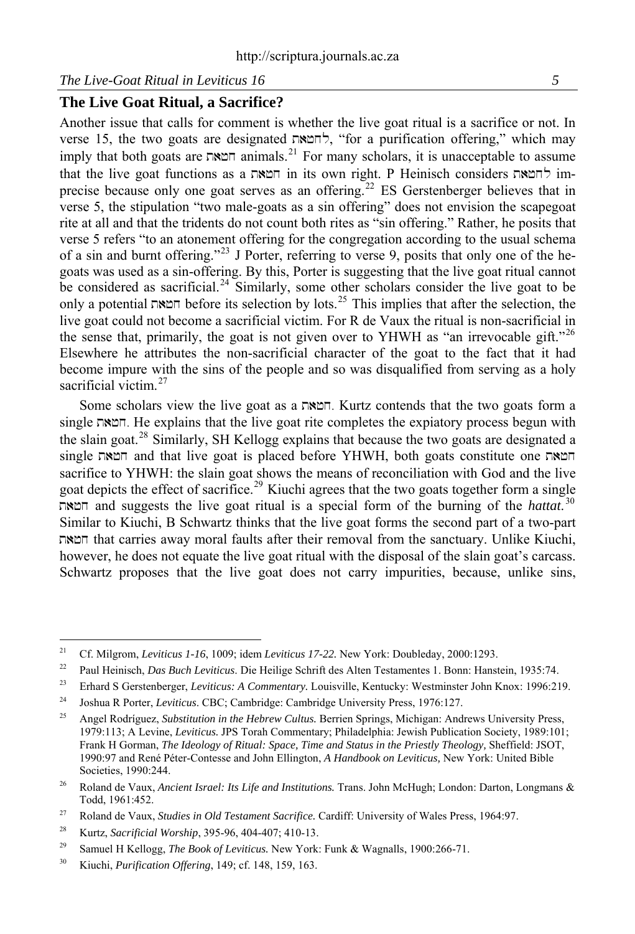### **The Live Goat Ritual, a Sacrifice?**

Another issue that calls for comment is whether the live goat ritual is a sacrifice or not. In verse 15, the two goats are designated  $\sim$  "for a purification offering," which may imply that both goats are  $\sum_{n=1}^{\infty}$  animals.<sup>[21](#page-4-0)</sup> For many scholars, it is unacceptable to assume that the live goat functions as a  $\overline{x}$  in its own right. P Heinisch considers  $\overline{x}$ precise because only one goat serves as an offering.<sup>[22](#page-4-1)</sup> ES Gerstenberger believes that in verse 5, the stipulation "two male-goats as a sin offering" does not envision the scapegoat rite at all and that the tridents do not count both rites as "sin offering." Rather, he posits that verse 5 refers "to an atonement offering for the congregation according to the usual schema of a sin and burnt offering."[23](#page-4-2) J Porter, referring to verse 9, posits that only one of the hegoats was used as a sin-offering. By this, Porter is suggesting that the live goat ritual cannot be considered as sacrificial.<sup>[24](#page-4-3)</sup> Similarly, some other scholars consider the live goat to be only a potential חמאה before its selection by lots.<sup>[25](#page-4-4)</sup> This implies that after the selection, the live goat could not become a sacrificial victim. For R de Vaux the ritual is non-sacrificial in the sense that, primarily, the goat is not given over to YHWH as "an irrevocable gift."<sup>[26](#page-4-5)</sup> Elsewhere he attributes the non-sacrificial character of the goat to the fact that it had become impure with the sins of the people and so was disqualified from serving as a holy sacrificial victim $27$ 

Some scholars view the live goat as a t)+x. Kurtz contends that the two goats form a single t)+x. He explains that the live goat rite completes the expiatory process begun with the slain goat.[28](#page-4-7) Similarly, SH Kellogg explains that because the two goats are designated a single חמאה and that live goat is placed before YHWH, both goats constitute one sacrifice to YHWH: the slain goat shows the means of reconciliation with God and the live goat depicts the effect of sacrifice.<sup>[29](#page-4-8)</sup> Kiuchi agrees that the two goats together form a single t)+x and suggests the live goat ritual is a special form of the burning of the *hattat*. [30](#page-4-9) Similar to Kiuchi, B Schwartz thinks that the live goat forms the second part of a two-part t)+x that carries away moral faults after their removal from the sanctuary. Unlike Kiuchi, however, he does not equate the live goat ritual with the disposal of the slain goat's carcass. Schwartz proposes that the live goat does not carry impurities, because, unlike sins,

<span id="page-4-0"></span> $21$ 21 Cf. Milgrom, *Leviticus 1-16*, 1009; idem *Leviticus 17-22.* New York: Doubleday, 2000:1293.

<span id="page-4-1"></span><sup>22</sup> Paul Heinisch, *Das Buch Leviticus*. Die Heilige Schrift des Alten Testamentes 1. Bonn: Hanstein, 1935:74.

<span id="page-4-2"></span><sup>23</sup> Erhard S Gerstenberger, *Leviticus: A Commentary.* Louisville, Kentucky: Westminster John Knox: 1996:219.

<span id="page-4-3"></span><sup>24</sup> Joshua R Porter, *Leviticus*. CBC; Cambridge: Cambridge University Press, 1976:127.

<span id="page-4-4"></span><sup>25</sup> Angel Rodríguez, *Substitution in the Hebrew Cultus.* Berrien Springs, Michigan: Andrews University Press, 1979:113; A Levine, *Leviticus.* JPS Torah Commentary; Philadelphia: Jewish Publication Society, 1989:101; Frank H Gorman, *The Ideology of Ritual: Space, Time and Status in the Priestly Theology,* Sheffield: JSOT, 1990:97 and René Péter-Contesse and John Ellington, *A Handbook on Leviticus,* New York: United Bible Societies, 1990:244.

<span id="page-4-5"></span><sup>26</sup> Roland de Vaux, *Ancient Israel: Its Life and Institutions.* Trans. John McHugh; London: Darton, Longmans & Todd, 1961:452.

<span id="page-4-6"></span><sup>27</sup> Roland de Vaux, *Studies in Old Testament Sacrifice.* Cardiff: University of Wales Press, 1964:97.

<span id="page-4-7"></span><sup>28</sup> Kurtz, *Sacrificial Worship*, 395-96, 404-407; 410-13.

<span id="page-4-8"></span><sup>&</sup>lt;sup>29</sup> Samuel H Kellogg, *The Book of Leviticus*. New York: Funk & Wagnalls, 1900:266-71.

<span id="page-4-9"></span><sup>30</sup> Kiuchi, *Purification Offering*, 149; cf. 148, 159, 163.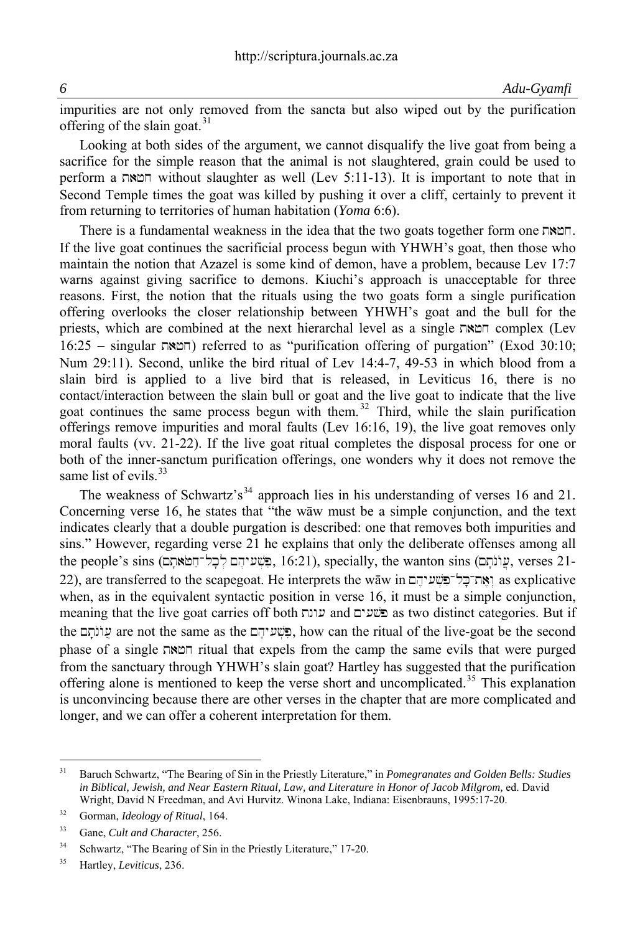impurities are not only removed from the sancta but also wiped out by the purification offering of the slain goat. $31$ 

Looking at both sides of the argument, we cannot disqualify the live goat from being a sacrifice for the simple reason that the animal is not slaughtered, grain could be used to perform a  $\pi$  m without slaughter as well (Lev 5:11-13). It is important to note that in Second Temple times the goat was killed by pushing it over a cliff, certainly to prevent it from returning to territories of human habitation (*Yoma* 6:6).

There is a fundamental weakness in the idea that the two goats together form one  $\Box \cong \Box$ . If the live goat continues the sacrificial process begun with YHWH's goat, then those who maintain the notion that Azazel is some kind of demon, have a problem, because Lev 17:7 warns against giving sacrifice to demons. Kiuchi's approach is unacceptable for three reasons. First, the notion that the rituals using the two goats form a single purification offering overlooks the closer relationship between YHWH's goat and the bull for the priests, which are combined at the next hierarchal level as a single  $\pi$ x $\pi$  complex (Lev  $16:25$  – singular  $\Box$  $\Box$  referred to as "purification offering of purgation" (Exod 30:10; Num 29:11). Second, unlike the bird ritual of Lev 14:4-7, 49-53 in which blood from a slain bird is applied to a live bird that is released, in Leviticus 16, there is no contact/interaction between the slain bull or goat and the live goat to indicate that the live goat continues the same process begun with them.<sup>[32](#page-5-1)</sup> Third, while the slain purification offerings remove impurities and moral faults (Lev 16:16, 19), the live goat removes only moral faults (vv. 21-22). If the live goat ritual completes the disposal process for one or both of the inner-sanctum purification offerings, one wonders why it does not remove the same list of evils.<sup>[33](#page-5-2)</sup>

The weakness of Schwartz's<sup>[34](#page-5-3)</sup> approach lies in his understanding of verses 16 and 21. Concerning verse 16, he states that "the wāw must be a simple conjunction, and the text indicates clearly that a double purgation is described: one that removes both impurities and sins." However, regarding verse 21 he explains that only the deliberate offenses among all the people's sins (בְּלֵיהֵם לְכָל־חֲמֹאתָם, 16:21), specially, the wanton sins (עוֹתָם, verses 21-22), are transferred to the scapegoat. He interprets the wāw in החדבל־פשעיהם as explicative when, as in the equivalent syntactic position in verse 16, it must be a simple conjunction, meaning that the live goat carries off both tnw( and My(#\$p as two distinct categories. But if the the dition of the same as the  $\frac{1}{2}$ , how can the ritual of the live-goat be the second phase of a single  $\overline{\text{max}}$  ritual that expels from the camp the same evils that were purged from the sanctuary through YHWH's slain goat? Hartley has suggested that the purification offering alone is mentioned to keep the verse short and uncomplicated.<sup>[35](#page-5-4)</sup> This explanation is unconvincing because there are other verses in the chapter that are more complicated and longer, and we can offer a coherent interpretation for them.

<span id="page-5-0"></span> $31$ 31 Baruch Schwartz, "The Bearing of Sin in the Priestly Literature," in *Pomegranates and Golden Bells: Studies in Biblical, Jewish, and Near Eastern Ritual, Law, and Literature in Honor of Jacob Milgrom,* ed. David Wright, David N Freedman, and Avi Hurvitz. Winona Lake, Indiana: Eisenbrauns, 1995:17-20.

<span id="page-5-1"></span><sup>32</sup> Gorman, *Ideology of Ritual*, 164.

<span id="page-5-2"></span><sup>33</sup> Gane, *Cult and Character*, 256.

<span id="page-5-3"></span><sup>&</sup>lt;sup>34</sup> Schwartz, "The Bearing of Sin in the Priestly Literature," 17-20.

<span id="page-5-4"></span><sup>35</sup> Hartley, *Leviticus*, 236.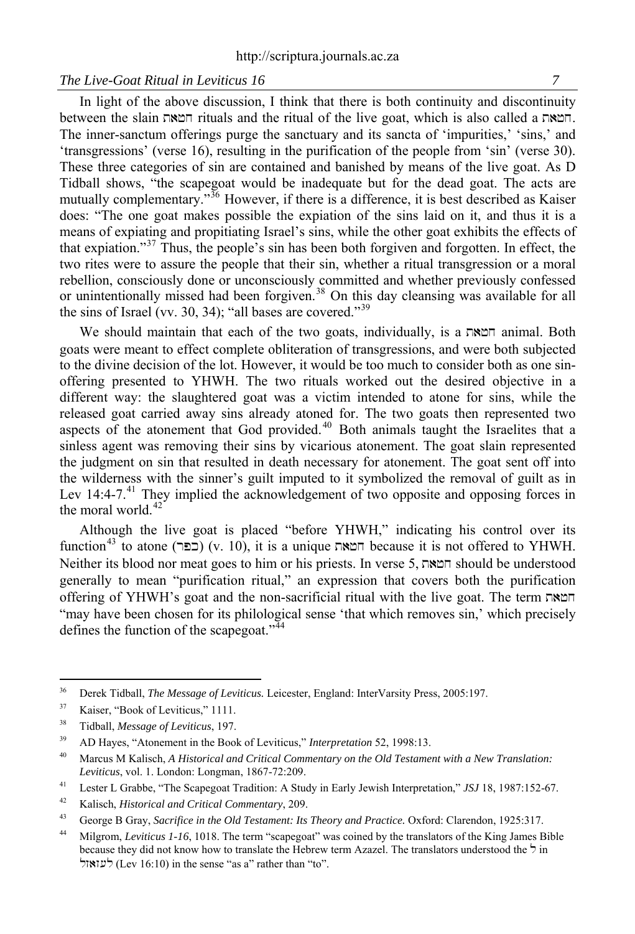In light of the above discussion, I think that there is both continuity and discontinuity between the slain חמאה rituals and the ritual of the live goat, which is also called a המאה. The inner-sanctum offerings purge the sanctuary and its sancta of 'impurities,' 'sins,' and 'transgressions' (verse 16), resulting in the purification of the people from 'sin' (verse 30). These three categories of sin are contained and banished by means of the live goat. As D Tidball shows, "the scapegoat would be inadequate but for the dead goat. The acts are mutually complementary."<sup>[36](#page-6-0)</sup> However, if there is a difference, it is best described as Kaiser does: "The one goat makes possible the expiation of the sins laid on it, and thus it is a means of expiating and propitiating Israel's sins, while the other goat exhibits the effects of that expiation."[37](#page-6-1) Thus, the people's sin has been both forgiven and forgotten. In effect, the two rites were to assure the people that their sin, whether a ritual transgression or a moral rebellion, consciously done or unconsciously committed and whether previously confessed or unintentionally missed had been forgiven.<sup>[38](#page-6-2)</sup> On this day cleansing was available for all the sins of Israel (vv. 30, 34); "all bases are covered."<sup>[39](#page-6-3)</sup>

We should maintain that each of the two goats, individually, is a  $\nabla \times \mathbb{R}$  animal. Both goats were meant to effect complete obliteration of transgressions, and were both subjected to the divine decision of the lot. However, it would be too much to consider both as one sinoffering presented to YHWH. The two rituals worked out the desired objective in a different way: the slaughtered goat was a victim intended to atone for sins, while the released goat carried away sins already atoned for. The two goats then represented two aspects of the atonement that God provided.<sup>[40](#page-6-4)</sup> Both animals taught the Israelites that a sinless agent was removing their sins by vicarious atonement. The goat slain represented the judgment on sin that resulted in death necessary for atonement. The goat sent off into the wilderness with the sinner's guilt imputed to it symbolized the removal of guilt as in Lev 14:4-7.<sup>[41](#page-6-5)</sup> They implied the acknowledgement of two opposite and opposing forces in the moral world.<sup>[42](#page-6-6)</sup>

Although the live goat is placed "before YHWH," indicating his control over its  $f$ function<sup>[43](#page-6-7)</sup> to atone (reck) (v. 10), it is a unique  $\pi$ x because it is not offered to YHWH. Neither its blood nor meat goes to him or his priests. In verse 5,  $\nabla \mathbf{x} \in \mathbb{R}$  should be understood generally to mean "purification ritual," an expression that covers both the purification offering of YHWH's goat and the non-sacrificial ritual with the live goat. The term t)+x "may have been chosen for its philological sense 'that which removes sin,' which precisely defines the function of the scapegoat." $44$ 

<span id="page-6-0"></span><sup>36</sup> 36 Derek Tidball, *The Message of Leviticus.* Leicester, England: InterVarsity Press, 2005:197.

<span id="page-6-1"></span><sup>&</sup>lt;sup>37</sup> Kaiser, "Book of Leviticus," 1111.

<span id="page-6-2"></span><sup>38</sup> Tidball, *Message of Leviticus*, 197.

<span id="page-6-3"></span><sup>39</sup> AD Hayes, "Atonement in the Book of Leviticus," *Interpretation* 52, 1998:13.

<span id="page-6-4"></span><sup>40</sup> Marcus M Kalisch, *A Historical and Critical Commentary on the Old Testament with a New Translation: Leviticus*, vol. 1. London: Longman, 1867-72:209.

<span id="page-6-5"></span><sup>41</sup> Lester L Grabbe, "The Scapegoat Tradition: A Study in Early Jewish Interpretation," *JSJ* 18, 1987:152-67.

<span id="page-6-6"></span><sup>42</sup> Kalisch, *Historical and Critical Commentary*, 209.

<span id="page-6-7"></span><sup>43</sup> George B Gray, *Sacrifice in the Old Testament: Its Theory and Practice.* Oxford: Clarendon, 1925:317.

<span id="page-6-8"></span><sup>44</sup> Milgrom, *Leviticus 1-16*, 1018. The term "scapegoat" was coined by the translators of the King James Bible because they did not know how to translate the Hebrew term Azazel. The translators understood the  $\frac{1}{2}$  in לעזאול (Lev 16:10) in the sense "as a" rather than "to".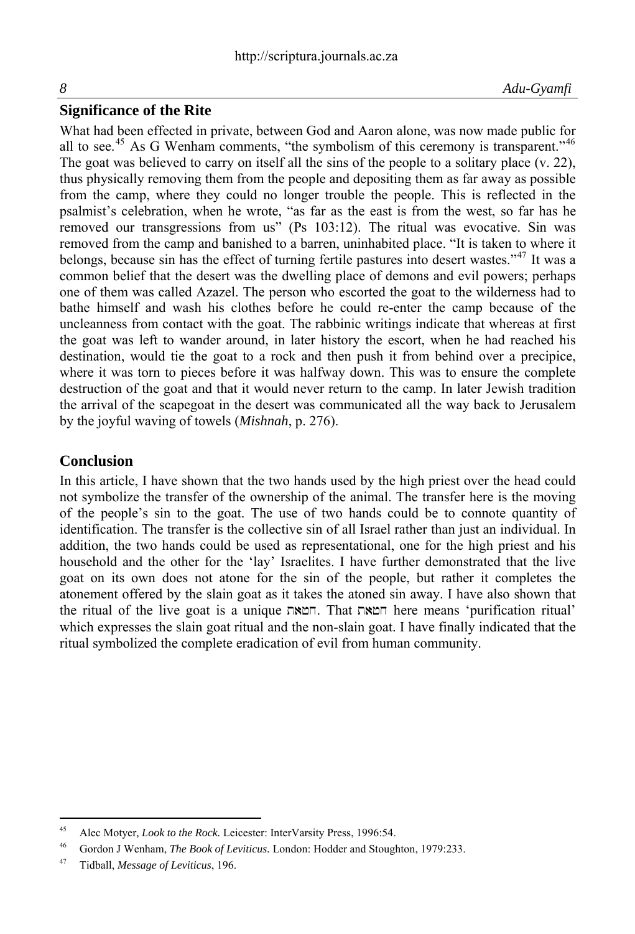#### **Significance of the Rite**

What had been effected in private, between God and Aaron alone, was now made public for all to see.<sup>[45](#page-7-0)</sup> As G Wenham comments, "the symbolism of this ceremony is transparent."<sup>[46](#page-7-1)</sup> The goat was believed to carry on itself all the sins of the people to a solitary place (v. 22), thus physically removing them from the people and depositing them as far away as possible from the camp, where they could no longer trouble the people. This is reflected in the psalmist's celebration, when he wrote, "as far as the east is from the west, so far has he removed our transgressions from us" (Ps 103:12). The ritual was evocative. Sin was removed from the camp and banished to a barren, uninhabited place. "It is taken to where it belongs, because sin has the effect of turning fertile pastures into desert wastes."<sup>[47](#page-7-2)</sup> It was a common belief that the desert was the dwelling place of demons and evil powers; perhaps one of them was called Azazel. The person who escorted the goat to the wilderness had to bathe himself and wash his clothes before he could re-enter the camp because of the uncleanness from contact with the goat. The rabbinic writings indicate that whereas at first the goat was left to wander around, in later history the escort, when he had reached his destination, would tie the goat to a rock and then push it from behind over a precipice, where it was torn to pieces before it was halfway down. This was to ensure the complete destruction of the goat and that it would never return to the camp. In later Jewish tradition the arrival of the scapegoat in the desert was communicated all the way back to Jerusalem by the joyful waving of towels (*Mishnah*, p. 276).

#### **Conclusion**

In this article, I have shown that the two hands used by the high priest over the head could not symbolize the transfer of the ownership of the animal. The transfer here is the moving of the people's sin to the goat. The use of two hands could be to connote quantity of identification. The transfer is the collective sin of all Israel rather than just an individual. In addition, the two hands could be used as representational, one for the high priest and his household and the other for the 'lay' Israelites. I have further demonstrated that the live goat on its own does not atone for the sin of the people, but rather it completes the atonement offered by the slain goat as it takes the atoned sin away. I have also shown that the ritual of the live goat is a unique  $\pi$ . That  $\pi$ את here means 'purification ritual' which expresses the slain goat ritual and the non-slain goat. I have finally indicated that the ritual symbolized the complete eradication of evil from human community.

<span id="page-7-0"></span> $45$ 45 Alec Motyer*, Look to the Rock.* Leicester: InterVarsity Press, 1996:54.

<span id="page-7-1"></span><sup>46</sup> Gordon J Wenham, *The Book of Leviticus.* London: Hodder and Stoughton, 1979:233.

<span id="page-7-2"></span><sup>47</sup> Tidball, *Message of Leviticus*, 196.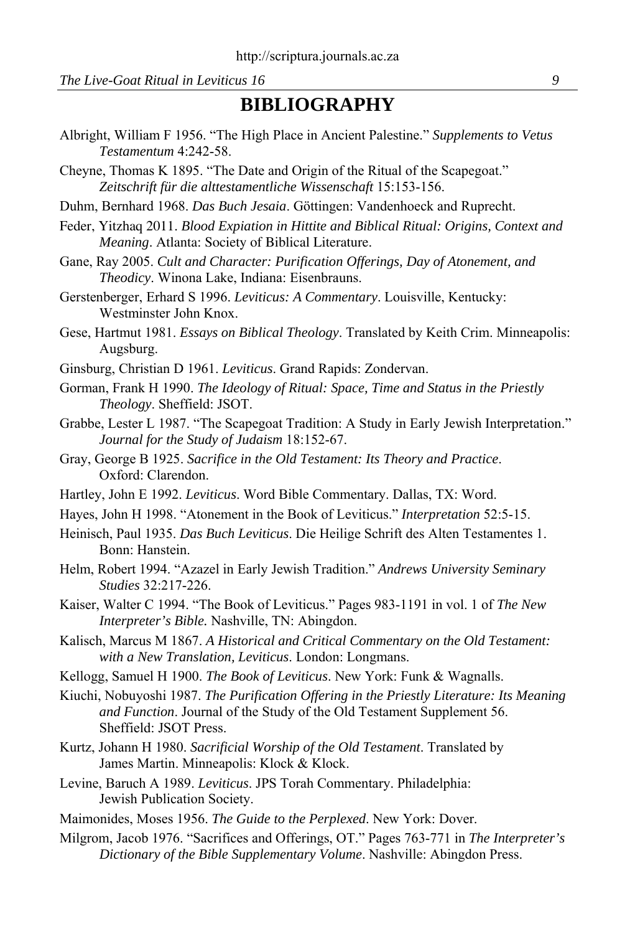## **BIBLIOGRAPHY**

- Albright, William F 1956. "The High Place in Ancient Palestine." *Supplements to Vetus Testamentum* 4:242-58.
- Cheyne, Thomas K 1895. "The Date and Origin of the Ritual of the Scapegoat." *Zeitschrift für die alttestamentliche Wissenschaft* 15:153-156.
- Duhm, Bernhard 1968. *Das Buch Jesaia*. Göttingen: Vandenhoeck and Ruprecht.
- Feder, Yitzhaq 2011. *Blood Expiation in Hittite and Biblical Ritual: Origins, Context and Meaning*. Atlanta: Society of Biblical Literature.
- Gane, Ray 2005. *Cult and Character: Purification Offerings, Day of Atonement, and Theodicy*. Winona Lake, Indiana: Eisenbrauns.
- Gerstenberger, Erhard S 1996. *Leviticus: A Commentary*. Louisville, Kentucky: Westminster John Knox.
- Gese, Hartmut 1981. *Essays on Biblical Theology*. Translated by Keith Crim. Minneapolis: Augsburg.
- Ginsburg, Christian D 1961. *Leviticus*. Grand Rapids: Zondervan.
- Gorman, Frank H 1990. *The Ideology of Ritual: Space, Time and Status in the Priestly Theology*. Sheffield: JSOT.
- Grabbe, Lester L 1987. "The Scapegoat Tradition: A Study in Early Jewish Interpretation." *Journal for the Study of Judaism* 18:152-67.
- Gray, George B 1925. *Sacrifice in the Old Testament: Its Theory and Practice*. Oxford: Clarendon.
- Hartley, John E 1992. *Leviticus*. Word Bible Commentary. Dallas, TX: Word.
- Hayes, John H 1998. "Atonement in the Book of Leviticus." *Interpretation* 52:5-15.
- Heinisch, Paul 1935. *Das Buch Leviticus*. Die Heilige Schrift des Alten Testamentes 1. Bonn: Hanstein.
- Helm, Robert 1994. "Azazel in Early Jewish Tradition." *Andrews University Seminary Studies* 32:217-226.
- Kaiser, Walter C 1994. "The Book of Leviticus." Pages 983-1191 in vol. 1 of *The New Interpreter's Bible.* Nashville, TN: Abingdon.
- Kalisch, Marcus M 1867. *A Historical and Critical Commentary on the Old Testament: with a New Translation, Leviticus*. London: Longmans.
- Kellogg, Samuel H 1900. *The Book of Leviticus*. New York: Funk & Wagnalls.
- Kiuchi, Nobuyoshi 1987. *The Purification Offering in the Priestly Literature: Its Meaning and Function*. Journal of the Study of the Old Testament Supplement 56. Sheffield: JSOT Press.
- Kurtz, Johann H 1980. *Sacrificial Worship of the Old Testament*. Translated by James Martin. Minneapolis: Klock & Klock.
- Levine, Baruch A 1989. *Leviticus*. JPS Torah Commentary. Philadelphia: Jewish Publication Society.
- Maimonides, Moses 1956. *The Guide to the Perplexed*. New York: Dover.
- Milgrom, Jacob 1976. "Sacrifices and Offerings, OT." Pages 763-771 in *The Interpreter's Dictionary of the Bible Supplementary Volume*. Nashville: Abingdon Press.